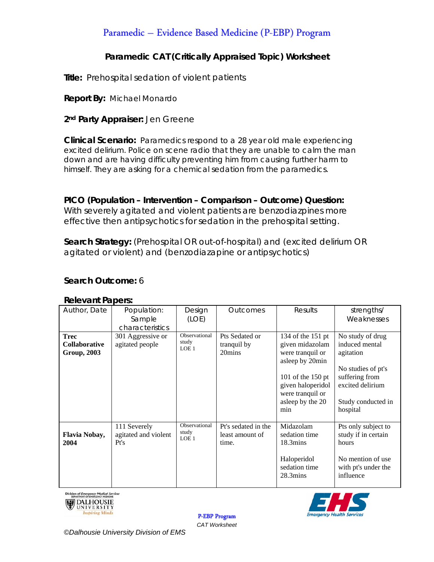# Paramedic - Evidence Based Medicine (P-EBP) Program

## Paramedic CAT (Critically Appraised Topic) Worksheet

Title: Prehospital sedation of violent patients

**Report By: Michael Monardo** 

### 2<sup>nd</sup> Party Appraiser: Jen Greene

**Clinical Scenario:** Paramedics respond to a 28 year old male experiencing excited delirium. Police on scene radio that they are unable to calm the man down and are having difficulty preventing him from causing further harm to himself. They are asking for a chemical sedation from the paramedics.

PICO (Population - Intervention - Comparison - Outcome) Question: With severely agitated and violent patients are benzodiazpines more effective then antipsychotics for sedation in the prehospital setting.

Search Strategy: (Prehospital OR out-of-hospital) and (excited delirium OR agitated or violent) and (benzodiazapine or antipsychotics)

### Search Outcome: 6

#### **Relevant Papers:**

| Author, Date                                              | Population:<br>Sample<br>characteristics     | Design<br>(LOE)                            | <b>Outcomes</b>                                 | Results                                                                                                                                                              | strengths/<br>Weaknesses                                                                                                                      |
|-----------------------------------------------------------|----------------------------------------------|--------------------------------------------|-------------------------------------------------|----------------------------------------------------------------------------------------------------------------------------------------------------------------------|-----------------------------------------------------------------------------------------------------------------------------------------------|
| <b>Trec</b><br><b>Collaborative</b><br><b>Group, 2003</b> | 301 Aggressive or<br>agitated people         | Observational<br>study<br>LOE <sub>1</sub> | Pts Sedated or<br>tranquil by<br>20mins         | 134 of the 151 pt<br>given midazolam<br>were tranquil or<br>asleep by 20min<br>101 of the 150 pt<br>given haloperidol<br>were tranquil or<br>asleep by the 20<br>min | No study of drug<br>induced mental<br>agitation<br>No studies of pt's<br>suffering from<br>excited delirium<br>Study conducted in<br>hospital |
| Flavia Nobay,<br>2004                                     | 111 Severely<br>agitated and violent<br>Pt's | Observational<br>study<br>LOE 1            | Pt's sedated in the<br>least amount of<br>time. | Midazolam<br>sedation time<br>$18.3 \text{mins}$<br>Haloperidol<br>sedation time<br>$28.3 \text{mins}$                                                               | Pts only subject to<br>study if in certain<br>hours<br>No mention of use<br>with pt's under the<br>influence                                  |





**P-EBP** Program **CAT Worksheet**